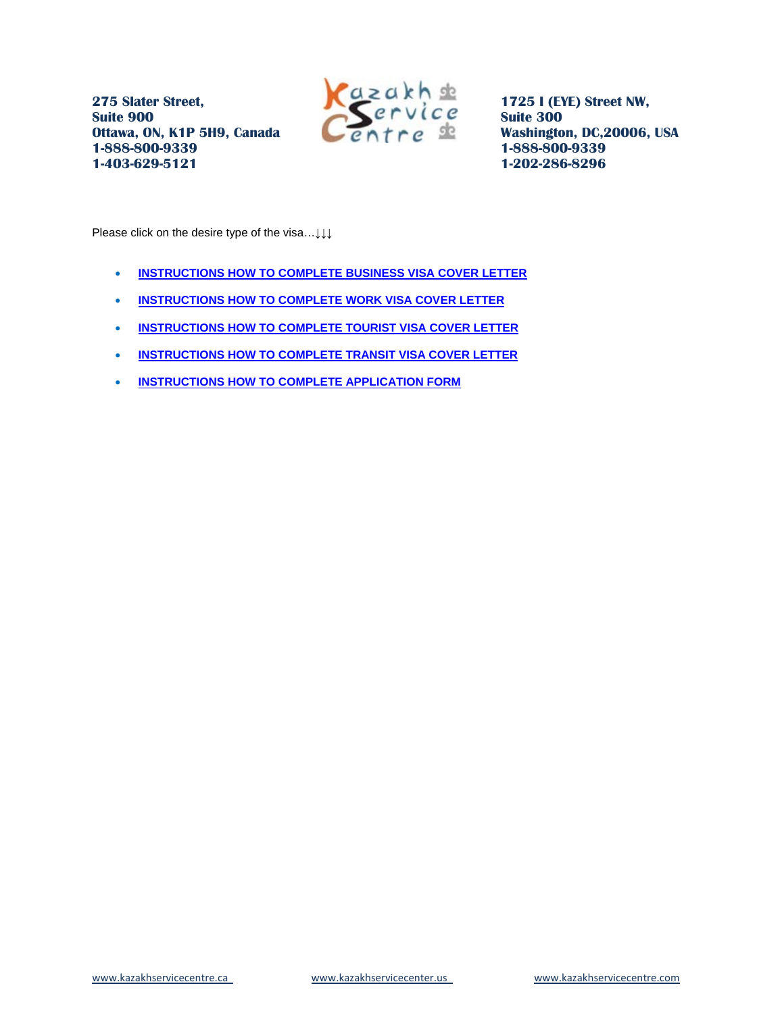

**1725 I (EYE) Street NW, Suite 300 Washington, DC,20006, USA 1-888-800-9339 1-202-286-8296**

<span id="page-0-0"></span>Please click on the desire type of the visa…↓↓↓

- **[INSTRUCTIONS HOW TO COMPLETE BUSINESS VISA COVER LETTER](#page-1-0)**
- **[INSTRUCTIONS HOW TO COMPLETE WORK VISA COVER LETTER](#page-3-0)**
- **[INSTRUCTIONS HOW TO COMPLETE TOURIST VISA COVER LETTER](#page-4-0)**
- **[INSTRUCTIONS HOW TO COMPLETE TRANSIT VISA COVER LETTER](#page-5-0)**
- **[INSTRUCTIONS HOW TO COMPLETE APPLICATION FORM](#page-6-0)**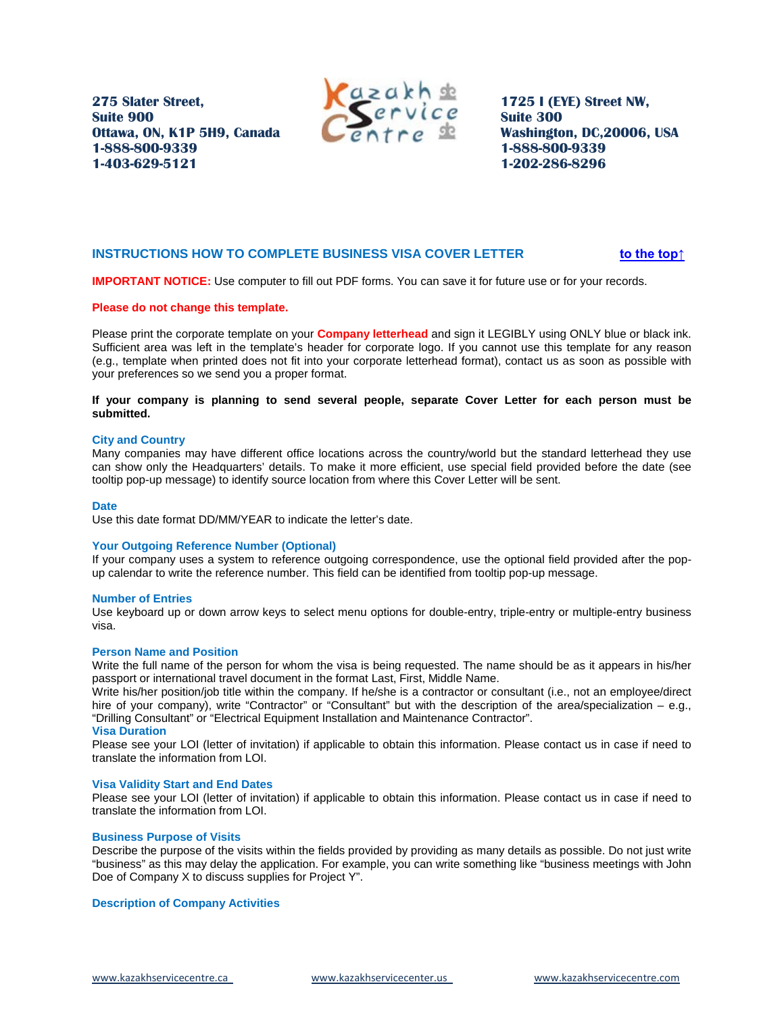

**1725 I (EYE) Street NW, Suite 300 Washington, DC,20006, USA 1-888-800-9339 1-202-286-8296**

# <span id="page-1-0"></span>**INSTRUCTIONS HOW TO COMPLETE BUSINESS VISA COVER LETTER**  $\bullet$  **517TU [to the top↑](#page-0-0)**

**IMPORTANT NOTICE:** Use computer to fill out PDF forms. You can save it for future use or for your records.

### **Please do not change this template.**

Please print the corporate template on your **Company letterhead** and sign it LEGIBLY using ONLY blue or black ink. Sufficient area was left in the template's header for corporate logo. If you cannot use this template for any reason (e.g., template when printed does not fit into your corporate letterhead format), contact us as soon as possible with your preferences so we send you a proper format.

# **If your company is planning to send several people, separate Cover Letter for each person must be submitted.**

#### **City and Country**

Many companies may have different office locations across the country/world but the standard letterhead they use can show only the Headquarters' details. To make it more efficient, use special field provided before the date (see tooltip pop-up message) to identify source location from where this Cover Letter will be sent.

#### **Date**

Use this date format DD/MM/YEAR to indicate the letter's date.

#### **Your Outgoing Reference Number (Optional)**

If your company uses a system to reference outgoing correspondence, use the optional field provided after the popup calendar to write the reference number. This field can be identified from tooltip pop-up message.

### **Number of Entries**

Use keyboard up or down arrow keys to select menu options for double-entry, triple-entry or multiple-entry business visa.

#### **Person Name and Position**

Write the full name of the person for whom the visa is being requested. The name should be as it appears in his/her passport or international travel document in the format Last, First, Middle Name.

Write his/her position/job title within the company. If he/she is a contractor or consultant (i.e., not an employee/direct hire of your company), write "Contractor" or "Consultant" but with the description of the area/specialization – e.g., "Drilling Consultant" or "Electrical Equipment Installation and Maintenance Contractor".

#### **Visa Duration**

Please see your LOI (letter of invitation) if applicable to obtain this information. Please contact us in case if need to translate the information from LOI.

#### **Visa Validity Start and End Dates**

Please see your LOI (letter of invitation) if applicable to obtain this information. Please contact us in case if need to translate the information from LOI.

#### **Business Purpose of Visits**

Describe the purpose of the visits within the fields provided by providing as many details as possible. Do not just write "business" as this may delay the application. For example, you can write something like "business meetings with John Doe of Company X to discuss supplies for Project Y".

#### **Description of Company Activities**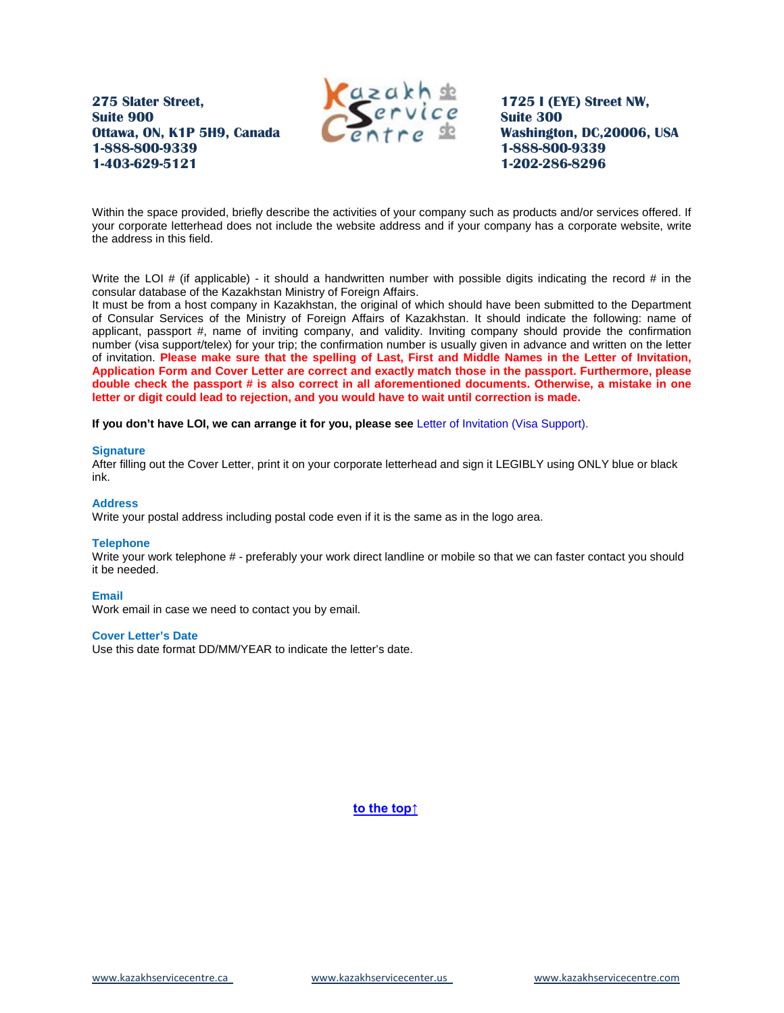

**1725 I (EYE) Street NW, Suite 300 Washington, DC,20006, USA 1-888-800-9339 1-202-286-8296**

Within the space provided, briefly describe the activities of your company such as products and/or services offered. If your corporate letterhead does not include the website address and if your company has a corporate website, write the address in this field.

Write the LOI  $\#$  (if applicable) - it should a handwritten number with possible digits indicating the record  $\#$  in the consular database of the Kazakhstan Ministry of Foreign Affairs.

It must be from a host company in Kazakhstan, the original of which should have been submitted to the Department of Consular Services of the Ministry of Foreign Affairs of Kazakhstan. It should indicate the following: name of applicant, passport #, name of inviting company, and validity. Inviting company should provide the confirmation number (visa support/telex) for your trip; the confirmation number is usually given in advance and written on the letter of invitation. **Please make sure that the spelling of Last, First and Middle Names in the Letter of Invitation, Application Form and Cover Letter are correct and exactly match those in the passport. Furthermore, please double check the passport # is also correct in all aforementioned documents. Otherwise, a mistake in one letter or digit could lead to rejection, and you would have to wait until correction is made.** 

**If you don't have LOI, we can arrange it for you, please see** Letter of Invitation (Visa Support).

#### **Signature**

After filling out the Cover Letter, print it on your corporate letterhead and sign it LEGIBLY using ONLY blue or black ink.

# **Address**

Write your postal address including postal code even if it is the same as in the logo area.

#### **Telephone**

Write your work telephone # - preferably your work direct landline or mobile so that we can faster contact you should it be needed.

### **Email**

Work email in case we need to contact you by email.

#### **Cover Letter's Date**

Use this date format DD/MM/YEAR to indicate the letter's date.

*<u>41Tu</u>* **[to the top↑](#page-0-0)**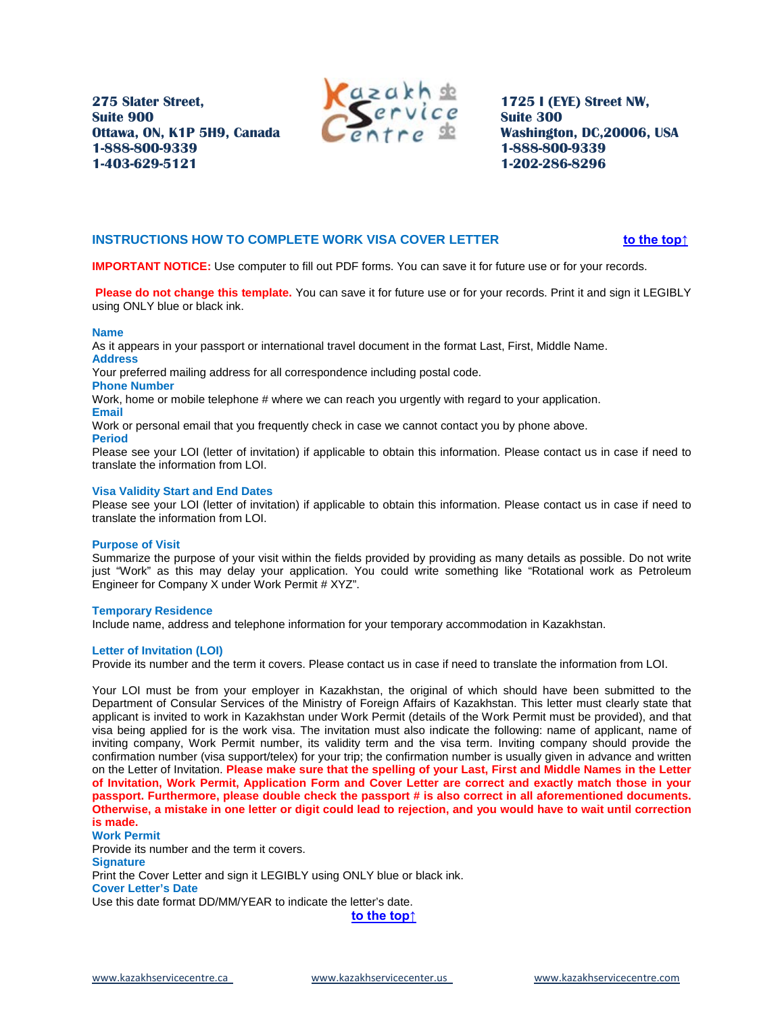

**1725 I (EYE) Street NW, Suite 300 Washington, DC,20006, USA 1-888-800-9339 1-202-286-8296**

# <span id="page-3-0"></span>**INSTRUCTIONS HOW TO COMPLETE WORK VISA COVER LETTER**  $\bullet$  **51TU [to the top↑](#page-0-0)**

**IMPORTANT NOTICE:** Use computer to fill out PDF forms. You can save it for future use or for your records.

**Please do not change this template.** You can save it for future use or for your records. Print it and sign it LEGIBLY using ONLY blue or black ink.

# **Name**

As it appears in your passport or international travel document in the format Last, First, Middle Name. **Address** 

Your preferred mailing address for all correspondence including postal code.

# **Phone Number**

Work, home or mobile telephone # where we can reach you urgently with regard to your application.

# **Email**

Work or personal email that you frequently check in case we cannot contact you by phone above.

**Period** 

Please see your LOI (letter of invitation) if applicable to obtain this information. Please contact us in case if need to translate the information from LOI.

# **Visa Validity Start and End Dates**

Please see your LOI (letter of invitation) if applicable to obtain this information. Please contact us in case if need to translate the information from LOI.

# **Purpose of Visit**

Summarize the purpose of your visit within the fields provided by providing as many details as possible. Do not write just "Work" as this may delay your application. You could write something like "Rotational work as Petroleum Engineer for Company X under Work Permit # XYZ".

# **Temporary Residence**

Include name, address and telephone information for your temporary accommodation in Kazakhstan.

# **Letter of Invitation (LOI)**

Provide its number and the term it covers. Please contact us in case if need to translate the information from LOI.

Your LOI must be from your employer in Kazakhstan, the original of which should have been submitted to the Department of Consular Services of the Ministry of Foreign Affairs of Kazakhstan. This letter must clearly state that applicant is invited to work in Kazakhstan under Work Permit (details of the Work Permit must be provided), and that visa being applied for is the work visa. The invitation must also indicate the following: name of applicant, name of inviting company, Work Permit number, its validity term and the visa term. Inviting company should provide the confirmation number (visa support/telex) for your trip; the confirmation number is usually given in advance and written on the Letter of Invitation. **Please make sure that the spelling of your Last, First and Middle Names in the Letter of Invitation, Work Permit, Application Form and Cover Letter are correct and exactly match those in your passport. Furthermore, please double check the passport # is also correct in all aforementioned documents. Otherwise, a mistake in one letter or digit could lead to rejection, and you would have to wait until correction is made.** 

# **Work Permit**

Provide its number and the term it covers. **Signature**  Print the Cover Letter and sign it LEGIBLY using ONLY blue or black ink. **Cover Letter's Date**  Use this date format DD/MM/YEAR to indicate the letter's date. *<u>41Tu</u>* **[to the top↑](#page-0-0)** 

[www.kazakhservicecentre.ca](http://www.kazakhservicecentre.ca/) www.kazakhservicecenter.us www.kazakhservicecentre.com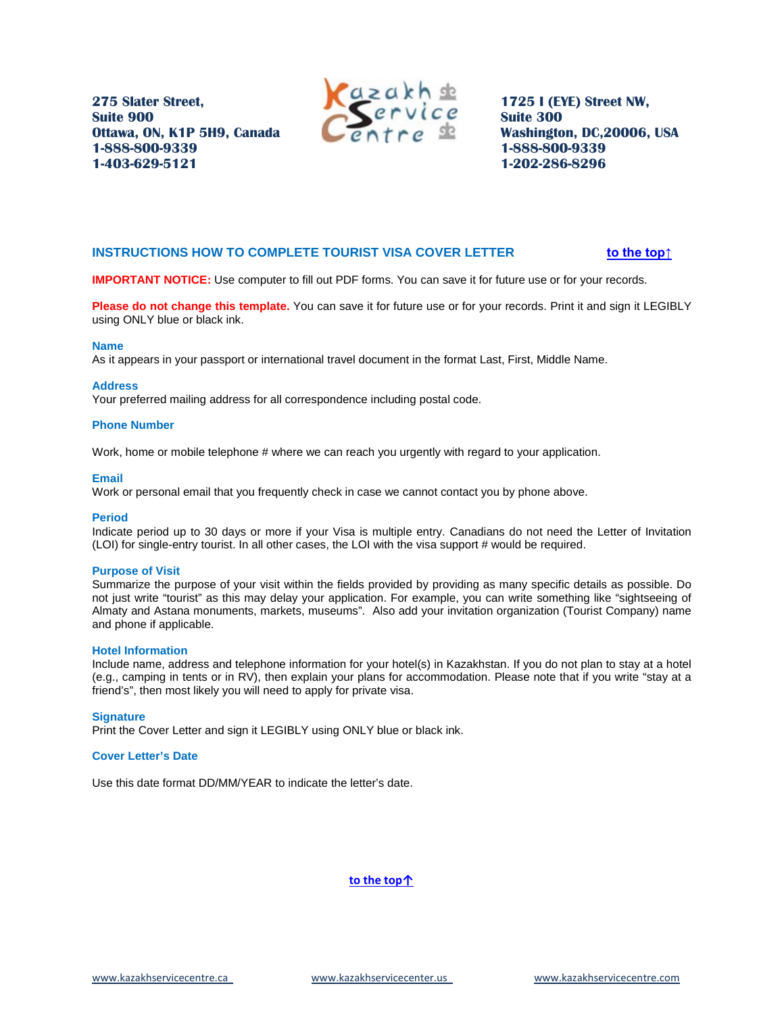

**1725 I (EYE) Street NW, Suite 300 Washington, DC,20006, USA 1-888-800-9339 1-202-286-8296**

# <span id="page-4-0"></span>**INSTRUCTIONS HOW TO COMPLETE TOURIST VISA COVER LETTER**  $\bullet$  **51TU [to the top↑](#page-0-0)**

**IMPORTANT NOTICE:** Use computer to fill out PDF forms. You can save it for future use or for your records.

**Please do not change this template.** You can save it for future use or for your records. Print it and sign it LEGIBLY using ONLY blue or black ink.

#### **Name**

As it appears in your passport or international travel document in the format Last, First, Middle Name.

# **Address**

Your preferred mailing address for all correspondence including postal code.

# **Phone Number**

Work, home or mobile telephone # where we can reach you urgently with regard to your application.

# **Email**

Work or personal email that you frequently check in case we cannot contact you by phone above.

#### **Period**

Indicate period up to 30 days or more if your Visa is multiple entry. Canadians do not need the Letter of Invitation (LOI) for single-entry tourist. In all other cases, the LOI with the visa support # would be required.

#### **Purpose of Visit**

Summarize the purpose of your visit within the fields provided by providing as many specific details as possible. Do not just write "tourist" as this may delay your application. For example, you can write something like "sightseeing of Almaty and Astana monuments, markets, museums". Also add your invitation organization (Tourist Company) name and phone if applicable.

#### **Hotel Information**

Include name, address and telephone information for your hotel(s) in Kazakhstan. If you do not plan to stay at a hotel (e.g., camping in tents or in RV), then explain your plans for accommodation. Please note that if you write "stay at a friend's", then most likely you will need to apply for private visa.

# **Signature**

Print the Cover Letter and sign it LEGIBLY using ONLY blue or black ink.

# **Cover Letter's Date**

Use this date format DD/MM/YEAR to indicate the letter's date.

**<u>10 the top↑</u>** 

[www.kazakhservicecentre.ca](http://www.kazakhservicecentre.ca/) www.kazakhservicecenter.us www.kazakhservicecentre.com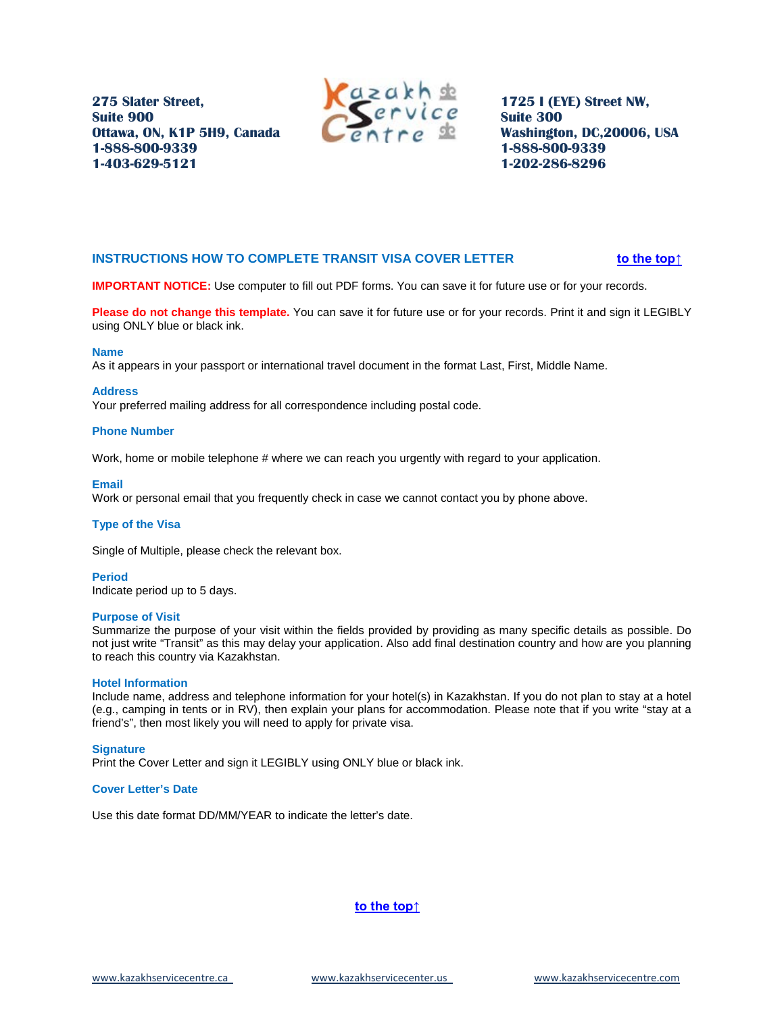

**1725 I (EYE) Street NW, Suite 300 Washington, DC,20006, USA 1-888-800-9339 1-202-286-8296**

# <span id="page-5-0"></span>**INSTRUCTIONS HOW TO COMPLETE TRANSIT VISA COVER LETTER**  $\text{31}$  **[to the top↑](#page-0-0)**

**IMPORTANT NOTICE:** Use computer to fill out PDF forms. You can save it for future use or for your records.

**Please do not change this template.** You can save it for future use or for your records. Print it and sign it LEGIBLY using ONLY blue or black ink.

#### **Name**

As it appears in your passport or international travel document in the format Last, First, Middle Name.

#### **Address**

Your preferred mailing address for all correspondence including postal code.

# **Phone Number**

Work, home or mobile telephone # where we can reach you urgently with regard to your application.

#### **Email**

Work or personal email that you frequently check in case we cannot contact you by phone above.

### **Type of the Visa**

Single of Multiple, please check the relevant box.

# **Period**

Indicate period up to 5 days.

#### **Purpose of Visit**

Summarize the purpose of your visit within the fields provided by providing as many specific details as possible. Do not just write "Transit" as this may delay your application. Also add final destination country and how are you planning to reach this country via Kazakhstan.

#### **Hotel Information**

Include name, address and telephone information for your hotel(s) in Kazakhstan. If you do not plan to stay at a hotel (e.g., camping in tents or in RV), then explain your plans for accommodation. Please note that if you write "stay at a friend's", then most likely you will need to apply for private visa.

#### **Signature**

Print the Cover Letter and sign it LEGIBLY using ONLY blue or black ink.

### **Cover Letter's Date**

Use this date format DD/MM/YEAR to indicate the letter's date.

# **<u>10 the top↑</u>**

[www.kazakhservicecentre.ca](http://www.kazakhservicecentre.ca/) www.kazakhservicecenter.us www.kazakhservicecentre.com